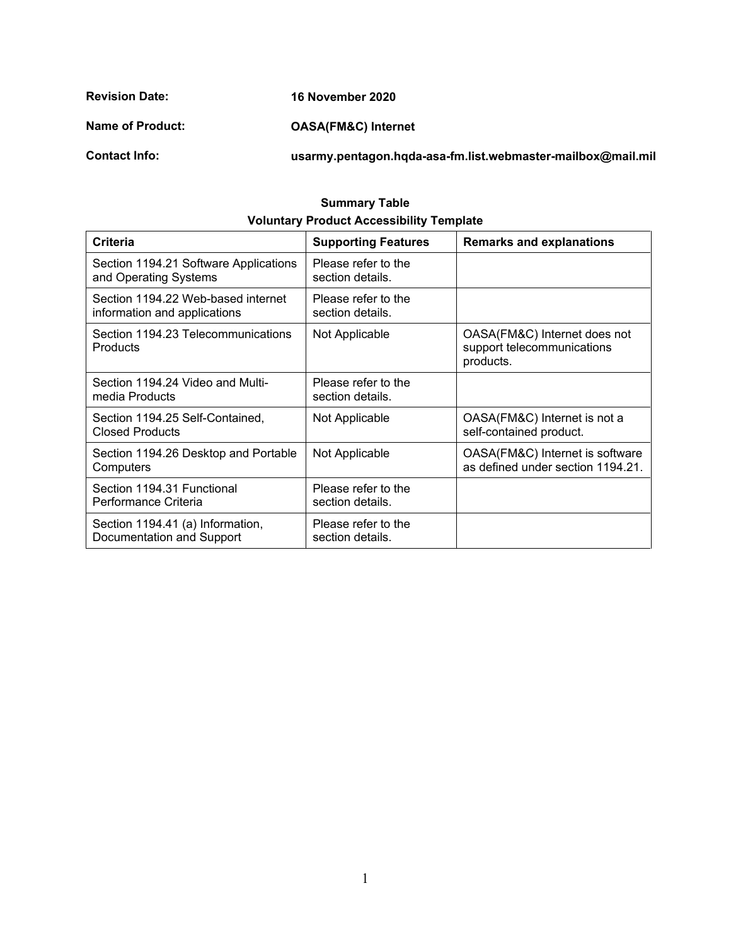**Revision Date: Name of Product: Contact Info: 16 November 2020 OASA(FM&C) Internet [usarmy.pentagon.hqda-asa-fm.list.webmaster-mailbox@mail.mil](mailto:usarmy.pentagon.hqda-asa-fm.list.webmaster-mailbox@mail.mil)**

#### **Summary Table Voluntary Product Accessibility Template**

| <b>Criteria</b>                                                    | <b>Supporting Features</b>              | <b>Remarks and explanations</b>                                         |
|--------------------------------------------------------------------|-----------------------------------------|-------------------------------------------------------------------------|
| Section 1194.21 Software Applications<br>and Operating Systems     | Please refer to the<br>section details. |                                                                         |
| Section 1194.22 Web-based internet<br>information and applications | Please refer to the<br>section details. |                                                                         |
| Section 1194.23 Telecommunications<br><b>Products</b>              | Not Applicable                          | OASA(FM&C) Internet does not<br>support telecommunications<br>products. |
| Section 1194.24 Video and Multi-<br>media Products                 | Please refer to the<br>section details. |                                                                         |
| Section 1194.25 Self-Contained,<br><b>Closed Products</b>          | Not Applicable                          | OASA(FM&C) Internet is not a<br>self-contained product.                 |
| Section 1194.26 Desktop and Portable<br>Computers                  | Not Applicable                          | OASA(FM&C) Internet is software<br>as defined under section 1194.21.    |
| Section 1194.31 Functional<br>Performance Criteria                 | Please refer to the<br>section details. |                                                                         |
| Section 1194.41 (a) Information,<br>Documentation and Support      | Please refer to the<br>section details. |                                                                         |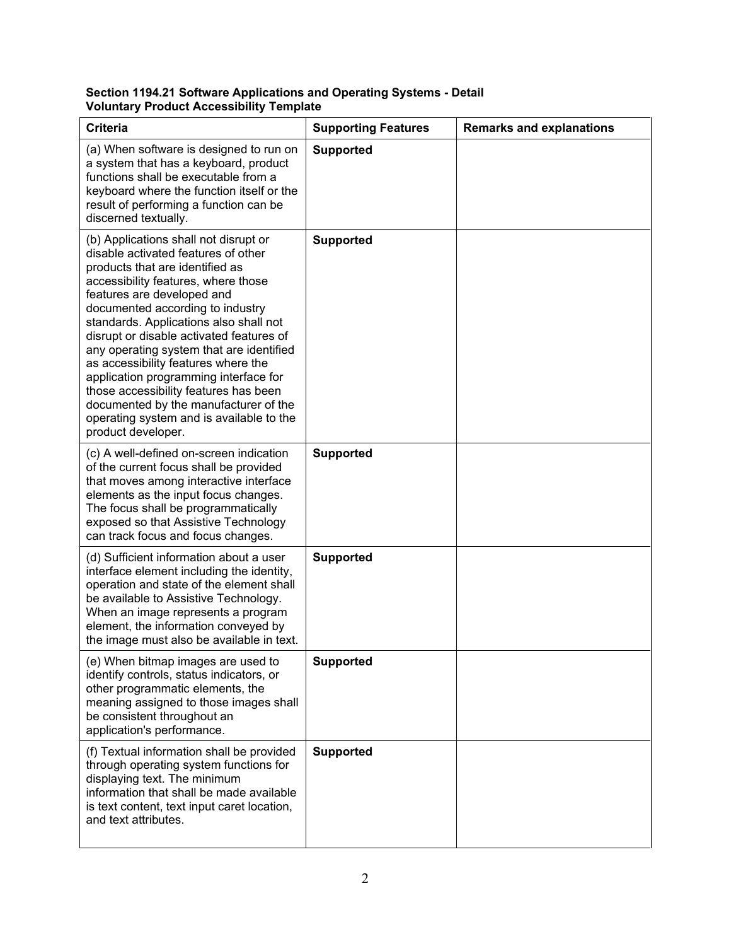#### **Section 1194.21 Software Applications and Operating Systems - Detail Voluntary Product Accessibility Template**

| <b>Criteria</b>                                                                                                                                                                                                                                                                                                                                                                                                                                                                                                                                                                                | <b>Supporting Features</b> | <b>Remarks and explanations</b> |
|------------------------------------------------------------------------------------------------------------------------------------------------------------------------------------------------------------------------------------------------------------------------------------------------------------------------------------------------------------------------------------------------------------------------------------------------------------------------------------------------------------------------------------------------------------------------------------------------|----------------------------|---------------------------------|
| (a) When software is designed to run on<br>a system that has a keyboard, product<br>functions shall be executable from a<br>keyboard where the function itself or the<br>result of performing a function can be<br>discerned textually.                                                                                                                                                                                                                                                                                                                                                        | <b>Supported</b>           |                                 |
| (b) Applications shall not disrupt or<br>disable activated features of other<br>products that are identified as<br>accessibility features, where those<br>features are developed and<br>documented according to industry<br>standards. Applications also shall not<br>disrupt or disable activated features of<br>any operating system that are identified<br>as accessibility features where the<br>application programming interface for<br>those accessibility features has been<br>documented by the manufacturer of the<br>operating system and is available to the<br>product developer. | <b>Supported</b>           |                                 |
| (c) A well-defined on-screen indication<br>of the current focus shall be provided<br>that moves among interactive interface<br>elements as the input focus changes.<br>The focus shall be programmatically<br>exposed so that Assistive Technology<br>can track focus and focus changes.                                                                                                                                                                                                                                                                                                       | <b>Supported</b>           |                                 |
| (d) Sufficient information about a user<br>interface element including the identity,<br>operation and state of the element shall<br>be available to Assistive Technology.<br>When an image represents a program<br>element, the information conveyed by<br>the image must also be available in text.                                                                                                                                                                                                                                                                                           | <b>Supported</b>           |                                 |
| (e) When bitmap images are used to<br>identify controls, status indicators, or<br>other programmatic elements, the<br>meaning assigned to those images shall<br>be consistent throughout an<br>application's performance.                                                                                                                                                                                                                                                                                                                                                                      | <b>Supported</b>           |                                 |
| (f) Textual information shall be provided<br>through operating system functions for<br>displaying text. The minimum<br>information that shall be made available<br>is text content, text input caret location,<br>and text attributes.                                                                                                                                                                                                                                                                                                                                                         | <b>Supported</b>           |                                 |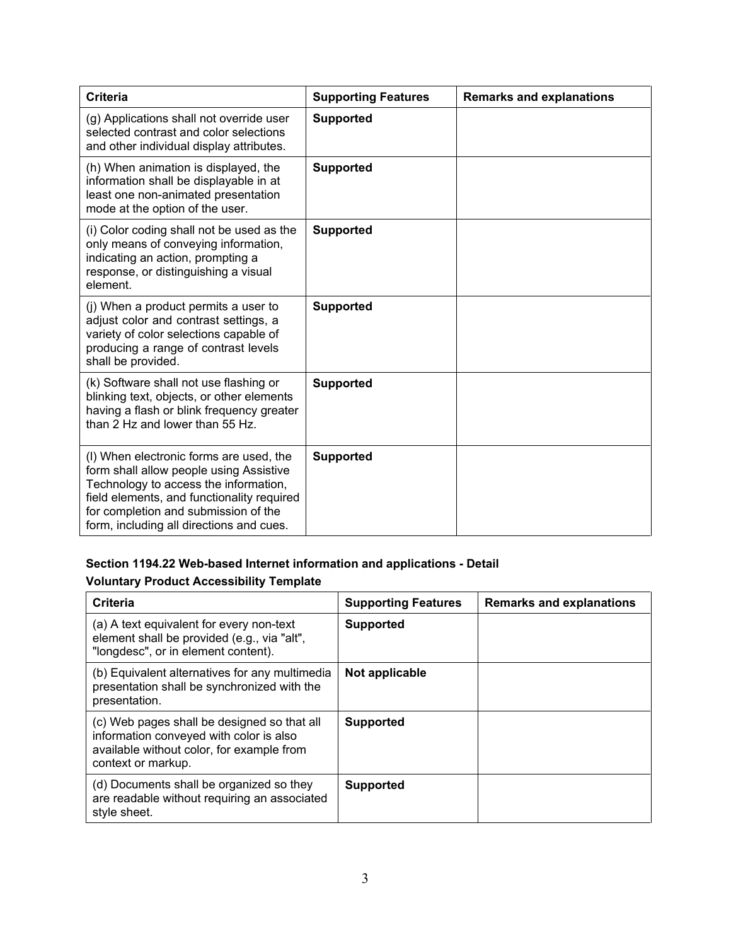| <b>Criteria</b>                                                                                                                                                                                                                                               | <b>Supporting Features</b> | <b>Remarks and explanations</b> |
|---------------------------------------------------------------------------------------------------------------------------------------------------------------------------------------------------------------------------------------------------------------|----------------------------|---------------------------------|
| (g) Applications shall not override user<br>selected contrast and color selections<br>and other individual display attributes.                                                                                                                                | <b>Supported</b>           |                                 |
| (h) When animation is displayed, the<br>information shall be displayable in at<br>least one non-animated presentation<br>mode at the option of the user.                                                                                                      | <b>Supported</b>           |                                 |
| (i) Color coding shall not be used as the<br>only means of conveying information,<br>indicating an action, prompting a<br>response, or distinguishing a visual<br>element.                                                                                    | <b>Supported</b>           |                                 |
| (i) When a product permits a user to<br>adjust color and contrast settings, a<br>variety of color selections capable of<br>producing a range of contrast levels<br>shall be provided.                                                                         | <b>Supported</b>           |                                 |
| (k) Software shall not use flashing or<br>blinking text, objects, or other elements<br>having a flash or blink frequency greater<br>than 2 Hz and lower than 55 Hz.                                                                                           | <b>Supported</b>           |                                 |
| (I) When electronic forms are used, the<br>form shall allow people using Assistive<br>Technology to access the information,<br>field elements, and functionality required<br>for completion and submission of the<br>form, including all directions and cues. | <b>Supported</b>           |                                 |

# **Section 1194.22 Web-based Internet information and applications - Detail**

### **Voluntary Product Accessibility Template**

| Criteria                                                                                                                                                  | <b>Supporting Features</b> | <b>Remarks and explanations</b> |
|-----------------------------------------------------------------------------------------------------------------------------------------------------------|----------------------------|---------------------------------|
| (a) A text equivalent for every non-text<br>element shall be provided (e.g., via "alt",<br>"longdesc", or in element content).                            | <b>Supported</b>           |                                 |
| (b) Equivalent alternatives for any multimedia<br>presentation shall be synchronized with the<br>presentation.                                            | Not applicable             |                                 |
| (c) Web pages shall be designed so that all<br>information conveyed with color is also<br>available without color, for example from<br>context or markup. | <b>Supported</b>           |                                 |
| (d) Documents shall be organized so they<br>are readable without requiring an associated<br>style sheet.                                                  | <b>Supported</b>           |                                 |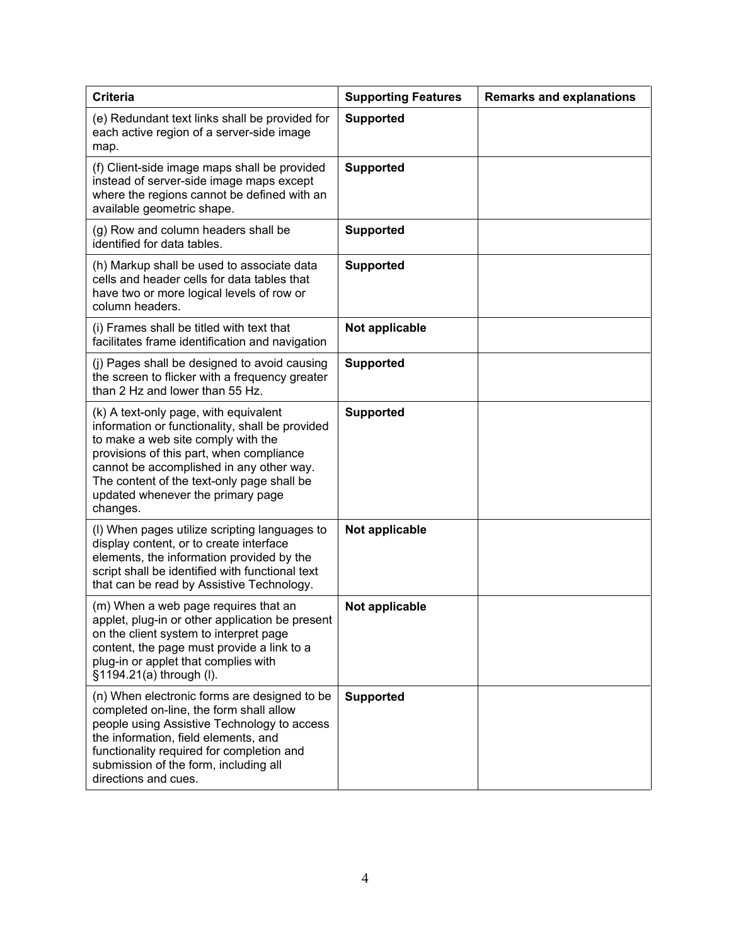| <b>Criteria</b>                                                                                                                                                                                                                                                                                                       | <b>Supporting Features</b> | <b>Remarks and explanations</b> |
|-----------------------------------------------------------------------------------------------------------------------------------------------------------------------------------------------------------------------------------------------------------------------------------------------------------------------|----------------------------|---------------------------------|
| (e) Redundant text links shall be provided for<br>each active region of a server-side image<br>map.                                                                                                                                                                                                                   | <b>Supported</b>           |                                 |
| (f) Client-side image maps shall be provided<br>instead of server-side image maps except<br>where the regions cannot be defined with an<br>available geometric shape.                                                                                                                                                 | <b>Supported</b>           |                                 |
| (g) Row and column headers shall be<br>identified for data tables.                                                                                                                                                                                                                                                    | <b>Supported</b>           |                                 |
| (h) Markup shall be used to associate data<br>cells and header cells for data tables that<br>have two or more logical levels of row or<br>column headers.                                                                                                                                                             | <b>Supported</b>           |                                 |
| (i) Frames shall be titled with text that<br>facilitates frame identification and navigation                                                                                                                                                                                                                          | Not applicable             |                                 |
| (j) Pages shall be designed to avoid causing<br>the screen to flicker with a frequency greater<br>than 2 Hz and lower than 55 Hz.                                                                                                                                                                                     | <b>Supported</b>           |                                 |
| (k) A text-only page, with equivalent<br>information or functionality, shall be provided<br>to make a web site comply with the<br>provisions of this part, when compliance<br>cannot be accomplished in any other way.<br>The content of the text-only page shall be<br>updated whenever the primary page<br>changes. | <b>Supported</b>           |                                 |
| (I) When pages utilize scripting languages to<br>display content, or to create interface<br>elements, the information provided by the<br>script shall be identified with functional text<br>that can be read by Assistive Technology.                                                                                 | Not applicable             |                                 |
| (m) When a web page requires that an<br>applet, plug-in or other application be present<br>on the client system to interpret page<br>content, the page must provide a link to a<br>plug-in or applet that complies with<br>§1194.21(a) through (I).                                                                   | Not applicable             |                                 |
| (n) When electronic forms are designed to be<br>completed on-line, the form shall allow<br>people using Assistive Technology to access<br>the information, field elements, and<br>functionality required for completion and<br>submission of the form, including all<br>directions and cues.                          | <b>Supported</b>           |                                 |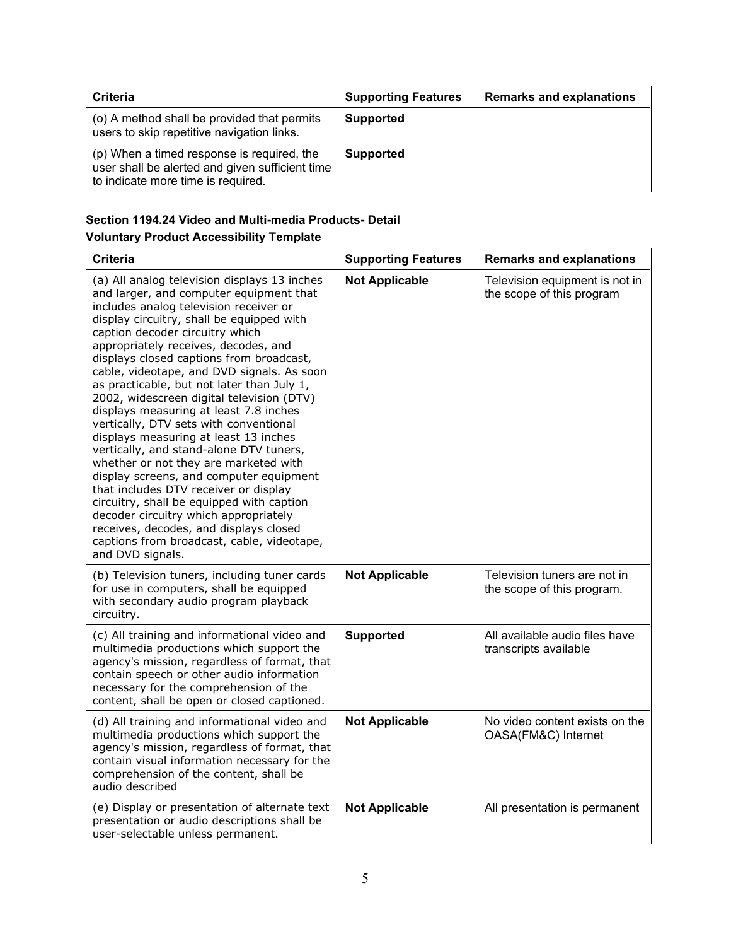| <b>Criteria</b>                                                                                                                     | <b>Supporting Features</b> | <b>Remarks and explanations</b> |
|-------------------------------------------------------------------------------------------------------------------------------------|----------------------------|---------------------------------|
| (o) A method shall be provided that permits<br>users to skip repetitive navigation links.                                           | <b>Supported</b>           |                                 |
| (p) When a timed response is required, the<br>user shall be alerted and given sufficient time<br>to indicate more time is required. | <b>Supported</b>           |                                 |

# **Section 1194.24 Video and Multi-media Products- Detail**

# **Voluntary Product Accessibility Template**

| <b>Criteria</b>                                                                                                                                                                                                                                                                                                                                                                                                                                                                                                                                                                                                                                                                                                                                                                                                                                                                                                                                       | <b>Supporting Features</b> | <b>Remarks and explanations</b>                             |
|-------------------------------------------------------------------------------------------------------------------------------------------------------------------------------------------------------------------------------------------------------------------------------------------------------------------------------------------------------------------------------------------------------------------------------------------------------------------------------------------------------------------------------------------------------------------------------------------------------------------------------------------------------------------------------------------------------------------------------------------------------------------------------------------------------------------------------------------------------------------------------------------------------------------------------------------------------|----------------------------|-------------------------------------------------------------|
| (a) All analog television displays 13 inches<br>and larger, and computer equipment that<br>includes analog television receiver or<br>display circuitry, shall be equipped with<br>caption decoder circuitry which<br>appropriately receives, decodes, and<br>displays closed captions from broadcast,<br>cable, videotape, and DVD signals. As soon<br>as practicable, but not later than July 1,<br>2002, widescreen digital television (DTV)<br>displays measuring at least 7.8 inches<br>vertically, DTV sets with conventional<br>displays measuring at least 13 inches<br>vertically, and stand-alone DTV tuners,<br>whether or not they are marketed with<br>display screens, and computer equipment<br>that includes DTV receiver or display<br>circuitry, shall be equipped with caption<br>decoder circuitry which appropriately<br>receives, decodes, and displays closed<br>captions from broadcast, cable, videotape,<br>and DVD signals. | <b>Not Applicable</b>      | Television equipment is not in<br>the scope of this program |
| (b) Television tuners, including tuner cards<br>for use in computers, shall be equipped<br>with secondary audio program playback<br>circuitry.                                                                                                                                                                                                                                                                                                                                                                                                                                                                                                                                                                                                                                                                                                                                                                                                        | <b>Not Applicable</b>      | Television tuners are not in<br>the scope of this program.  |
| (c) All training and informational video and<br>multimedia productions which support the<br>agency's mission, regardless of format, that<br>contain speech or other audio information<br>necessary for the comprehension of the<br>content, shall be open or closed captioned.                                                                                                                                                                                                                                                                                                                                                                                                                                                                                                                                                                                                                                                                        | <b>Supported</b>           | All available audio files have<br>transcripts available     |
| (d) All training and informational video and<br>multimedia productions which support the<br>agency's mission, regardless of format, that<br>contain visual information necessary for the<br>comprehension of the content, shall be<br>audio described                                                                                                                                                                                                                                                                                                                                                                                                                                                                                                                                                                                                                                                                                                 | <b>Not Applicable</b>      | No video content exists on the<br>OASA(FM&C) Internet       |
| (e) Display or presentation of alternate text<br>presentation or audio descriptions shall be<br>user-selectable unless permanent.                                                                                                                                                                                                                                                                                                                                                                                                                                                                                                                                                                                                                                                                                                                                                                                                                     | <b>Not Applicable</b>      | All presentation is permanent                               |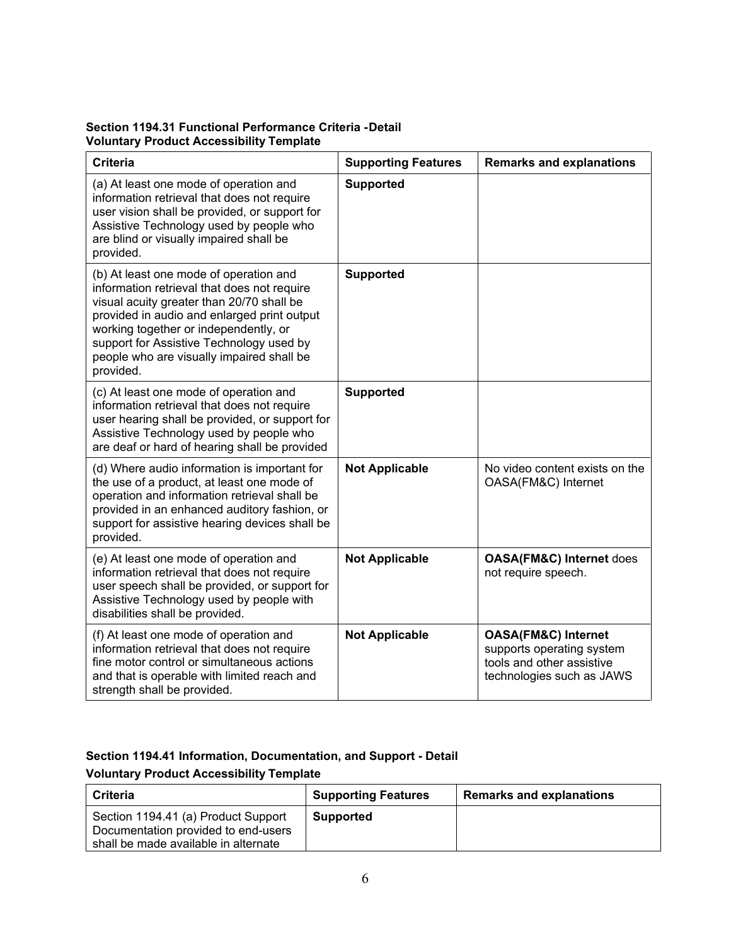#### **Section 1194.31 Functional Performance Criteria - Detail Voluntary Product Accessibility Template**

| <b>Criteria</b>                                                                                                                                                                                                                                                                                                                  | <b>Supporting Features</b> | <b>Remarks and explanations</b>                                                                                       |
|----------------------------------------------------------------------------------------------------------------------------------------------------------------------------------------------------------------------------------------------------------------------------------------------------------------------------------|----------------------------|-----------------------------------------------------------------------------------------------------------------------|
| (a) At least one mode of operation and<br>information retrieval that does not require<br>user vision shall be provided, or support for<br>Assistive Technology used by people who<br>are blind or visually impaired shall be<br>provided.                                                                                        | <b>Supported</b>           |                                                                                                                       |
| (b) At least one mode of operation and<br>information retrieval that does not require<br>visual acuity greater than 20/70 shall be<br>provided in audio and enlarged print output<br>working together or independently, or<br>support for Assistive Technology used by<br>people who are visually impaired shall be<br>provided. | <b>Supported</b>           |                                                                                                                       |
| (c) At least one mode of operation and<br>information retrieval that does not require<br>user hearing shall be provided, or support for<br>Assistive Technology used by people who<br>are deaf or hard of hearing shall be provided                                                                                              | <b>Supported</b>           |                                                                                                                       |
| (d) Where audio information is important for<br>the use of a product, at least one mode of<br>operation and information retrieval shall be<br>provided in an enhanced auditory fashion, or<br>support for assistive hearing devices shall be<br>provided.                                                                        | <b>Not Applicable</b>      | No video content exists on the<br>OASA(FM&C) Internet                                                                 |
| (e) At least one mode of operation and<br>information retrieval that does not require<br>user speech shall be provided, or support for<br>Assistive Technology used by people with<br>disabilities shall be provided.                                                                                                            | <b>Not Applicable</b>      | <b>OASA(FM&amp;C) Internet does</b><br>not require speech.                                                            |
| (f) At least one mode of operation and<br>information retrieval that does not require<br>fine motor control or simultaneous actions<br>and that is operable with limited reach and<br>strength shall be provided.                                                                                                                | <b>Not Applicable</b>      | <b>OASA(FM&amp;C) Internet</b><br>supports operating system<br>tools and other assistive<br>technologies such as JAWS |

### **Section 1194.41 Information, Documentation, and Support - Detail Voluntary Product Accessibility Template**

| <b>Criteria</b>                                                                                                    | <b>Supporting Features</b> | <b>Remarks and explanations</b> |
|--------------------------------------------------------------------------------------------------------------------|----------------------------|---------------------------------|
| Section 1194.41 (a) Product Support<br>Documentation provided to end-users<br>shall be made available in alternate | <b>Supported</b>           |                                 |